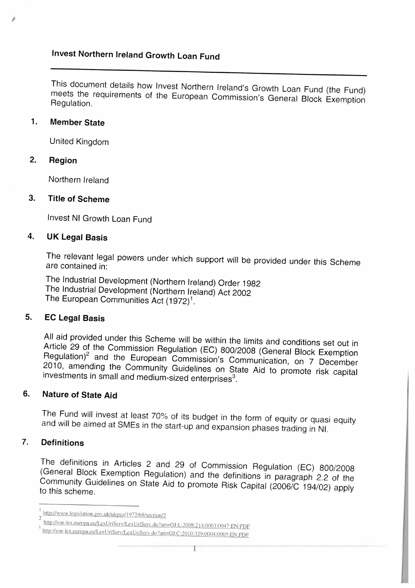# Invest Northern Ireland Growth Loan Fund

This document details how Invest Northern Ireland's Growth Loan Fund (the Fund) meets the requirements of the European Commission's General Block Exemption<br>Bequiation Regulation.

## 1. Member State

United Kingdom

### 2. Region

Northern Ireland

### 3. Title of Scheme

Invest NI Growth Loan Fund

## 4. UK Legal Basis

The relevant legal powers under which support will be provided under this Scheme are contained in:

The Industrial Development (Northern Ireland) Order <sup>1982</sup> The Industrial Development (Northern Ireland) Act <sup>2002</sup> The European Communities Act  $(1972)^1$ .

# 5. EC Legal Basis

Article 29 of the Commission Regulation (EC) 800/2008 (General Block Exemption All aid provided under this Scheme will be within the limits and conditions set out in Regulation)<sup>2</sup> and the European Commission's Communication, on 7 December 2010, amending the Community Guidelines on State Aid to promote risk capital investments in small and medium-sized enterprises<sup>3</sup>.

# 6. Nature of State Aid

The Fund will invest at least 70% of its budget in the form of equity or quasi equity and will be aimed at SMEs in the start-up and expansion phases trading in NI.

# 7. Definitions

The definitions in Articles <sup>2</sup> and <sup>29</sup> of Commission Regulation (EC) 800/2008 (General Block Exemption Regulation) and the definitions in paragraph <sup>22</sup> of the Community Guidelines on State Aid to promote Risk Capital (2006/C 194/02) apply to this scheme.

http://www.legislation.gov.uk/ukpga/1972/68/section/2

http://eur-lex.europa.eu/LexUriServ/LexUriServ.do?uri=OJ:L:2008:214:0003:0047:EN:PDF

http://eur-lex.europa.eu/LexUriServ/LexUriServ.do?uri=OJ:C:2010:329:0004:0005:EN:PDF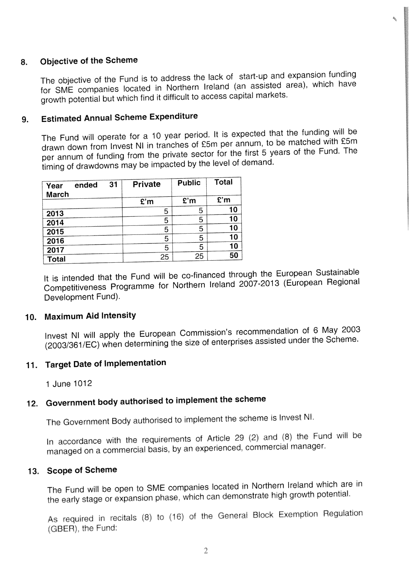## 8. Objective of the Scheme

The objective of the Fund is to address the lack of start-up and expansion funding for SME companies located in Northern lreland (an assisted area). which have growth potential but which find it difficult to access capital markets.

# 9. Estimated Annual Scheme Expenditure

The Fund will operate for <sup>a</sup> <sup>10</sup> year period. It is expected that the funding will be drawn down from Invest NI in tranches of £5m per annum, to be matched with £5m per annum of funding from the private sector for the first <sup>5</sup> years of the Fund. The timing of drawdowns may be impacted by the level of demand.

| Year         | ended | 31 | Private | <b>Public</b> | Total |
|--------------|-------|----|---------|---------------|-------|
| March        |       |    | E'm     | E'm           | E'm   |
| 2013         |       |    | 5       | 5             | 10    |
| 2014         |       |    | 5       | 5             | 10    |
| 2015         |       |    | 5       | 5             | 10    |
| 2016         |       |    | 5       | 5             | 10    |
| 2017         |       |    | 5       | 5             | 10    |
| <b>Total</b> |       |    | 25      | 25            | 50    |

It is intended that the Fund will be co-financed through the European Sustainable Competitiveness Programme for Northern Ireland 2007-2013 (European Regional Development Fund).

### 10. Maximum Aid Intensity

Invest NI will apply the European Commission's recommendation of <sup>6</sup> May <sup>2003</sup> (20031361/EC) when determining the size of enterprises assisted under the Scheme.

# 11. Target Date of Implementation

1 June 1012

# 12. Government body authorised to implement the scheme

The Government Body authorised to implement the scheme is Invest NI.

In accordance with the requirements of Article 29 (2) and (8) the Fund will be manage<sup>d</sup> on <sup>a</sup> commercial basis, by an experienced, commercial manager

### 13. Scope of Scheme

The Fund will be open to SME companies located in Northern Ireland which are in the early stage or expansion <sup>p</sup>hase. which can demonstrate high growth potential

As required in recitals (8) to (16) of the General Block Exemption Regulation (GBER), the Fund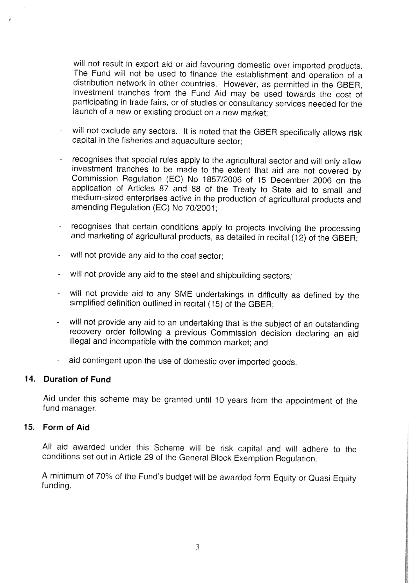- will not result in export aid or aid favouring domestic over imported products. The Fund will not be used to finance the establishment and operation of <sup>a</sup> distribution network in other countries. However, as permitted in the GBER, investment tranches from the Fund Aid may be used towards the cost of participating in trade fairs, or of studies or consultancy services needed for the launch of <sup>a</sup> new or existing product on <sup>a</sup> new market;
- will not exclude any sectors. It is noted that the GBER specifically allows risk capital in the fisheries and aquaculture sector;
- recognises that special rules apply to the agricultural sector and will only allow investment tranches to be made to the extent that aid are not covered by Commission Regulation (EC) No 1857/2006 of <sup>15</sup> December <sup>2006</sup> on the application of Articles <sup>87</sup> and <sup>88</sup> of the Treaty to State aid to small and medium-sized enterprises active in the production of agricultural products and amending Regulation (EC) No 70/2001;
- recognises that certain conditions apply to projects involving the processing and marketing of agricultural products, as detailed in recital (12) of the GBER;
- will not provide any aid to the coal sector;
- will not provide any aid to the steel and shipbuilding sectors;
- will not provide aid to any SME undertakings in difficulty as defined by the simplified definition outlined in recital (15) of the GBER;
- will not provide any aid to an undertaking that is the subject of an outstanding recovery order following <sup>a</sup> previous Commission decision declaring an aid illegal and incompatible with the common market; and
- aid contingent upon the use of domestic over imported goods.

### 14. Duration of Fund

Aid under this scheme may be granted until <sup>10</sup> years from the appointment of the fund manager.

### 15. Form of Aid

All aid awarded under this Scheme will be risk capital and will adhere to the conditions set out in Article <sup>29</sup> of the General Block Exemption Regulation.

<sup>A</sup> minimum of 70% of the Fund's budget will be awarded form Equity or Quasi Equity funding.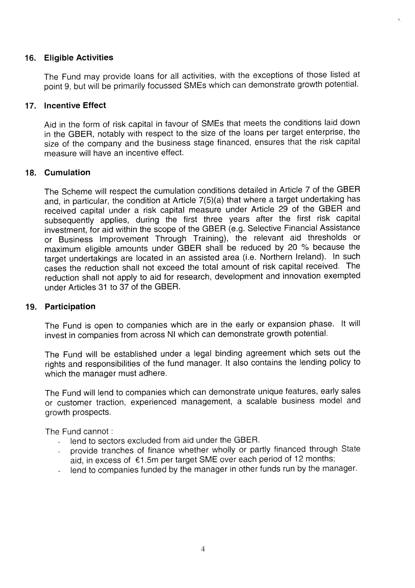### 16. Eligible Activities

The Fund may provide loans for all activities, with the exceptions of those listed at point 9, but will be primarily focussed SMEs which can demonstrate growth potential.

### 17. Incentive Effect

Aid in the form of risk capital in favour of SMEs that meets the conditions laid down in the GBER, notably with respec<sup>t</sup> to the size of the loans per target enterprise, the size of the company and the business stage financed, ensures that the risk capital measure will have an incentive effect.

### 18. Cumulation

The Scheme will respec<sup>t</sup> the cumulation conditions detailed in Article <sup>7</sup> of the GBER and, in particular, the condition at Article 7(5)(a) that where <sup>a</sup> target undertaking has received capital under <sup>a</sup> risk capital measure under Article <sup>29</sup> of the GBER and subsequently applies, during the first three years after the first risk capital investment, for aid within the scope of the GBER (e.g. Selective Financial Assistance or Business Improvement Through Training), the relevant aid thresholds or maximum eligible amounts under GBER shall be reduced by <sup>20</sup> % because the target undertakings are located in an assisted area (i.e. Northern Ireland). In such cases the reduction shall not exceed the total amount of risk capital received. The reduction shall not apply to aid for research, development and innovation exempted under Articles 31 to 37 of the GBER.

### 19. Participation

The Fund is open to companies which are in the early or expansion <sup>p</sup>hase. It will invest in companies from across NI which can demonstrate growth potential.

The Fund will be established under <sup>a</sup> legal binding agreemen<sup>t</sup> which sets out the rights and responsibilities of the fund manager. It also contains the lending policy to which the manager must adhere.

The Fund will lend to companies which can demonstrate unique features, early sales or customer traction, experienced management, <sup>a</sup> scalable business model and growth prospects.

The Fund cannot:

- lend to sectors excluded from aid under the GBER.
- provide tranches of finance whether wholly or partly financed through State aid, in excess of €1 5m per target SME over each period of <sup>12</sup> months;
- lend to companies funded by the manager in other funds run by the manager.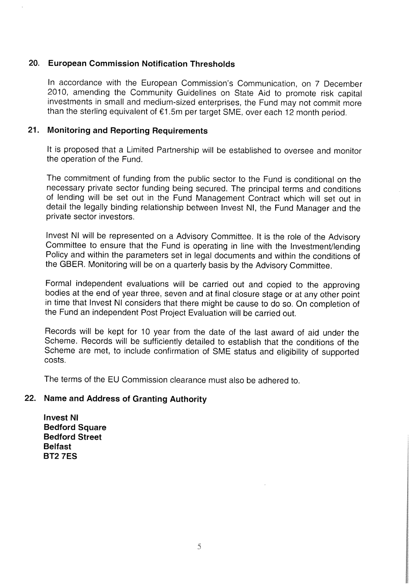### 20. European Commission Notification Thresholds

In accordance with the European Commission's Communication, on <sup>7</sup> December 2010, amending the Community Guidelines on State Aid to promote risk capital investments in small and medium-sized enterprises, the Fund may not commit more than the sterling equivalent of €1 .5m per target SME, over each <sup>12</sup> month period.

### 21. Monitoring and Reporting Requirements

It is proposed that <sup>a</sup> Limited Partnership will be established to oversee and monitor the operation of the Fund.

The commitment of funding from the public sector to the Fund is conditional on the necessary private sector funding being secured. The principal terms and conditions of lending will be set out in the Fund Management Contract which will set out in detail the legally binding relationship between Invest NI, the Fund Manager and the private sector investors.

Invest NI will be represented on <sup>a</sup> Advisory Committee. It is the role of the Advisory Committee to ensure that the Fund is operating in line with the Investment/lending Policy and within the parameters set in legal documents and within the conditions of the GBER. Monitoring will be on <sup>a</sup> quarterly basis by the Advisory Committee.

Formal independent evaluations will be carried out and copied to the approving bodies at the end of year three, seven and at final closure stage or at any other point in time that Invest NI considers that there might be cause to do so. On completion of the Fund an independent Post Project Evaluation will be carried out.

Records will be kept for 10 year from the date of the last award of aid under the Scheme. Records will be sufficiently detailed to establish that the conditions of the Scheme are met, to include confirmation of SME status and eligibility of supported costs.

The terms of the EU Commission clearance must also be adhered to.

## 22. Name and Address of Granting Authority

Invest NI Bedford Square Bedford Street Belfast BT2 7ES